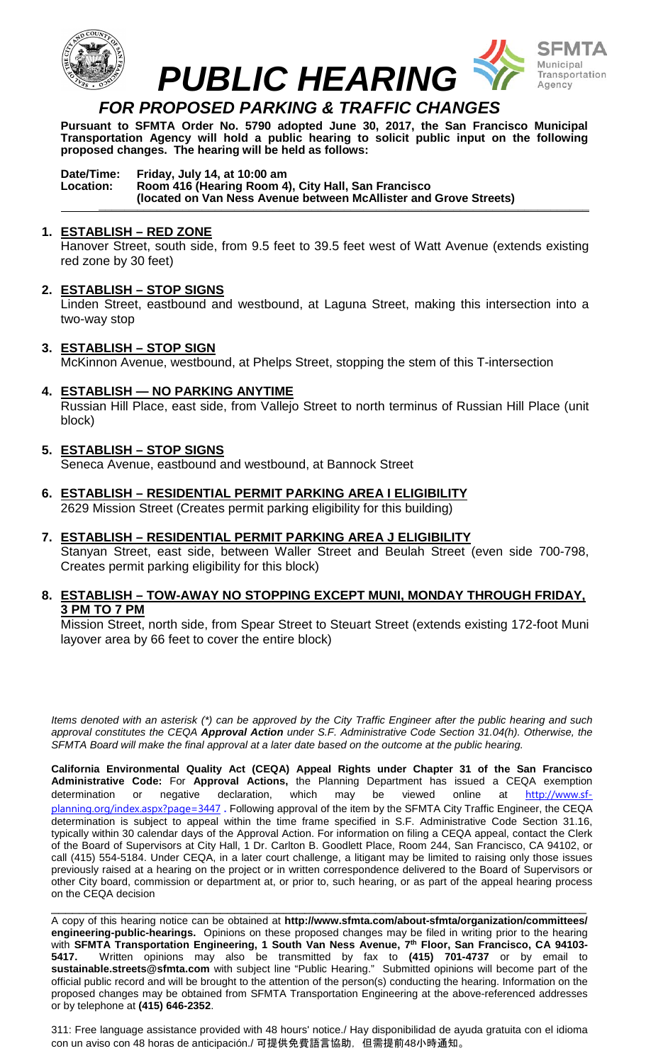

## *FOR PROPOSED PARKING & TRAFFIC CHANGES*

**Pursuant to SFMTA Order No. 5790 adopted June 30, 2017, the San Francisco Municipal Transportation Agency will hold a public hearing to solicit public input on the following proposed changes. The hearing will be held as follows:**

#### **Date/Time: Friday, July 14, at 10:00 am Location: Room 416 (Hearing Room 4), City Hall, San Francisco (located on Van Ness Avenue between McAllister and Grove Streets) \_\_\_\_\_\_\_\_\_\_\_\_\_\_\_\_\_\_\_\_\_\_\_\_\_\_\_\_\_\_\_\_\_\_\_\_\_\_\_\_\_\_\_\_\_\_\_\_\_\_\_\_\_\_\_\_\_\_\_\_\_\_\_\_\_\_\_\_\_\_\_\_\_\_\_\_**

### **1. ESTABLISH – RED ZONE**

Hanover Street, south side, from 9.5 feet to 39.5 feet west of Watt Avenue (extends existing red zone by 30 feet)

### **2. ESTABLISH – STOP SIGNS**

Linden Street, eastbound and westbound, at Laguna Street, making this intersection into a two-way stop

### **3. ESTABLISH – STOP SIGN**

McKinnon Avenue, westbound, at Phelps Street, stopping the stem of this T-intersection

**4. ESTABLISH — NO PARKING ANYTIME** 

Russian Hill Place, east side, from Vallejo Street to north terminus of Russian Hill Place (unit block)

### **5. ESTABLISH – STOP SIGNS**

Seneca Avenue, eastbound and westbound, at Bannock Street

**6. ESTABLISH – RESIDENTIAL PERMIT PARKING AREA I ELIGIBILITY**  2629 Mission Street (Creates permit parking eligibility for this building)

### **7. ESTABLISH – RESIDENTIAL PERMIT PARKING AREA J ELIGIBILITY**

Stanyan Street, east side, between Waller Street and Beulah Street (even side 700-798, Creates permit parking eligibility for this block)

### **8. ESTABLISH – TOW-AWAY NO STOPPING EXCEPT MUNI, MONDAY THROUGH FRIDAY, 3 PM TO 7 PM**

Mission Street, north side, from Spear Street to Steuart Street (extends existing 172-foot Muni layover area by 66 feet to cover the entire block)

*Items denoted with an asterisk (\*) can be approved by the City Traffic Engineer after the public hearing and such approval constitutes the CEQA Approval Action under S.F. Administrative Code Section 31.04(h). Otherwise, the SFMTA Board will make the final approval at a later date based on the outcome at the public hearing.*

**California Environmental Quality Act (CEQA) Appeal Rights under Chapter 31 of the San Francisco Administrative Code:** For **Approval Actions,** the Planning Department has issued a CEQA exemption determination or negative declaration, which may be viewed online at [http://www.sf](http://www.sf-planning.org/index.aspx?page=3447)[planning.org/index.aspx?page=3447](http://www.sf-planning.org/index.aspx?page=3447) **.** Following approval of the item by the SFMTA City Traffic Engineer, the CEQA determination is subject to appeal within the time frame specified in S.F. Administrative Code Section 31.16, typically within 30 calendar days of the Approval Action. For information on filing a CEQA appeal, contact the Clerk of the Board of Supervisors at City Hall, 1 Dr. Carlton B. Goodlett Place, Room 244, San Francisco, CA 94102, or call (415) 554-5184. Under CEQA, in a later court challenge, a litigant may be limited to raising only those issues previously raised at a hearing on the project or in written correspondence delivered to the Board of Supervisors or other City board, commission or department at, or prior to, such hearing, or as part of the appeal hearing process on the CEQA decision

\_\_\_\_\_\_\_\_\_\_\_\_\_\_\_\_\_\_\_\_\_\_\_\_\_\_\_\_\_\_\_\_\_\_\_\_\_\_\_\_\_\_\_\_\_\_\_\_\_\_\_\_\_\_\_\_\_\_\_\_\_\_\_\_\_\_\_\_\_\_\_\_\_\_\_\_ A copy of this hearing notice can be obtained at **http://www.sfmta.com/about-sfmta/organization/committees/ engineering-public-hearings.** Opinions on these proposed changes may be filed in writing prior to the hearing with **SFMTA Transportation Engineering, 1 South Van Ness Avenue, 7th Floor, San Francisco, CA 94103- 5417.** Written opinions may also be transmitted by fax to **(415) 701-4737** or by email to **sustainable.streets@sfmta.com** with subject line "Public Hearing." Submitted opinions will become part of the official public record and will be brought to the attention of the person(s) conducting the hearing. Information on the proposed changes may be obtained from SFMTA Transportation Engineering at the above-referenced addresses or by telephone at **(415) 646-2352**.

311: Free language assistance provided with 48 hours' notice./ Hay disponibilidad de ayuda gratuita con el idioma con un aviso con 48 horas de anticipación./ 可提供免費語言協助, 但需提前48小時通知。